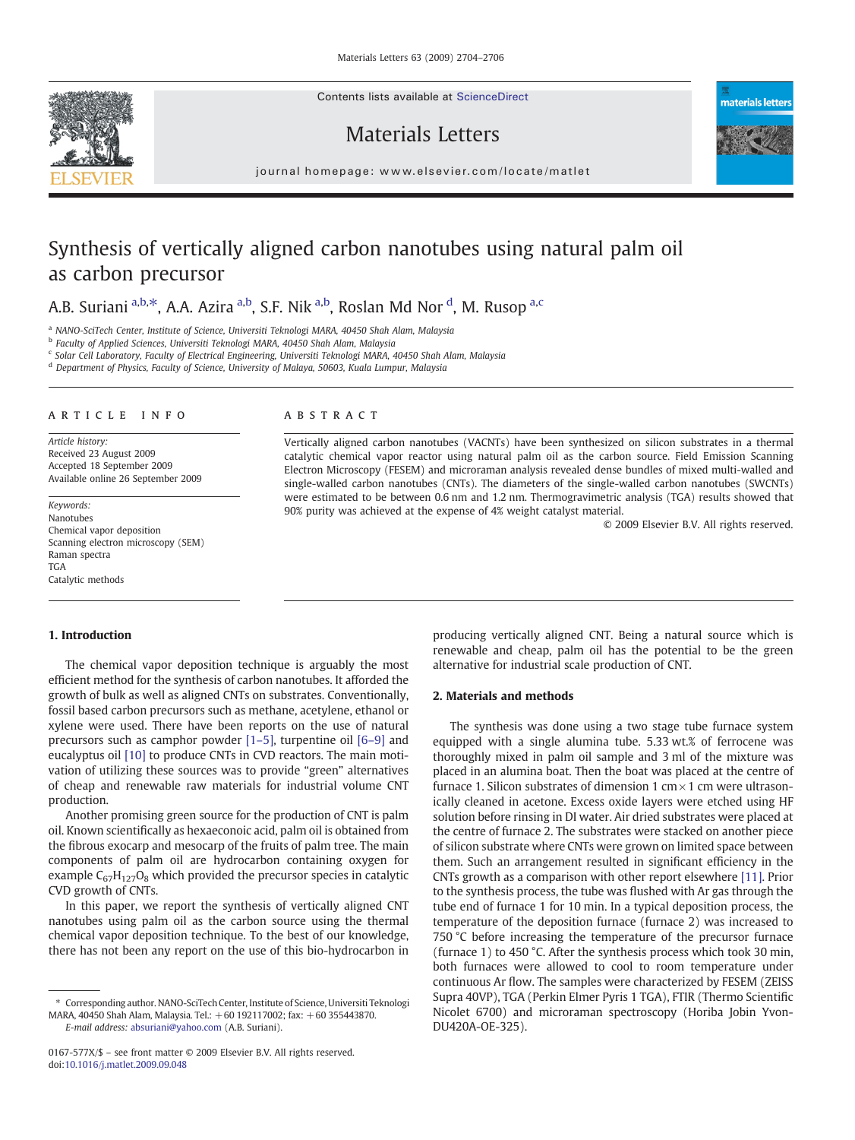Contents lists available at ScienceDirect

## Materials Letters



# Synthesis of vertically aligned carbon nanotubes using natural palm oil as carbon precursor

## A.B. Suriani <sup>a,b, $\ast$ </sup>, A.A. Azira <sup>a,b</sup>, S.F. Nik <sup>a,b</sup>, Roslan Md Nor <sup>d</sup>, M. Rusop <sup>a,c</sup>

a NANO-SciTech Center, Institute of Science, Universiti Teknologi MARA, 40450 Shah Alam, Malaysia

<sup>b</sup> Faculty of Applied Sciences, Universiti Teknologi MARA, 40450 Shah Alam, Malaysia

<sup>c</sup> Solar Cell Laboratory, Faculty of Electrical Engineering, Universiti Teknologi MARA, 40450 Shah Alam, Malaysia

<sup>d</sup> Department of Physics, Faculty of Science, University of Malaya, 50603, Kuala Lumpur, Malaysia

#### article info abstract

Article history: Received 23 August 2009 Accepted 18 September 2009 Available online 26 September 2009

Keywords: Nanotubes Chemical vapor deposition Scanning electron microscopy (SEM) Raman spectra TGA Catalytic methods

#### 1. Introduction

The chemical vapor deposition technique is arguably the most efficient method for the synthesis of carbon nanotubes. It afforded the growth of bulk as well as aligned CNTs on substrates. Conventionally, fossil based carbon precursors such as methane, acetylene, ethanol or xylene were used. There have been reports on the use of natural precursors such as camphor powder [1–[5\],](#page-2-0) turpentine oil [\[6](#page-2-0)–9] and eucalyptus oil [\[10\]](#page-2-0) to produce CNTs in CVD reactors. The main motivation of utilizing these sources was to provide "green" alternatives of cheap and renewable raw materials for industrial volume CNT production.

Another promising green source for the production of CNT is palm oil. Known scientifically as hexaeconoic acid, palm oil is obtained from the fibrous exocarp and mesocarp of the fruits of palm tree. The main components of palm oil are hydrocarbon containing oxygen for example  $C_{67}H_{127}O_8$  which provided the precursor species in catalytic CVD growth of CNTs.

In this paper, we report the synthesis of vertically aligned CNT nanotubes using palm oil as the carbon source using the thermal chemical vapor deposition technique. To the best of our knowledge, there has not been any report on the use of this bio-hydrocarbon in

E-mail address: [absuriani@yahoo.com](mailto:absuriani@yahoo.com) (A.B. Suriani).

Vertically aligned carbon nanotubes (VACNTs) have been synthesized on silicon substrates in a thermal catalytic chemical vapor reactor using natural palm oil as the carbon source. Field Emission Scanning Electron Microscopy (FESEM) and microraman analysis revealed dense bundles of mixed multi-walled and single-walled carbon nanotubes (CNTs). The diameters of the single-walled carbon nanotubes (SWCNTs) were estimated to be between 0.6 nm and 1.2 nm. Thermogravimetric analysis (TGA) results showed that 90% purity was achieved at the expense of 4% weight catalyst material.

© 2009 Elsevier B.V. All rights reserved.

materials letters

producing vertically aligned CNT. Being a natural source which is renewable and cheap, palm oil has the potential to be the green alternative for industrial scale production of CNT.

#### 2. Materials and methods

The synthesis was done using a two stage tube furnace system equipped with a single alumina tube. 5.33 wt.% of ferrocene was thoroughly mixed in palm oil sample and 3 ml of the mixture was placed in an alumina boat. Then the boat was placed at the centre of furnace 1. Silicon substrates of dimension 1 cm $\times$  1 cm were ultrasonically cleaned in acetone. Excess oxide layers were etched using HF solution before rinsing in DI water. Air dried substrates were placed at the centre of furnace 2. The substrates were stacked on another piece of silicon substrate where CNTs were grown on limited space between them. Such an arrangement resulted in significant efficiency in the CNTs growth as a comparison with other report elsewhere [\[11\]](#page-2-0). Prior to the synthesis process, the tube was flushed with Ar gas through the tube end of furnace 1 for 10 min. In a typical deposition process, the temperature of the deposition furnace (furnace 2) was increased to 750 °C before increasing the temperature of the precursor furnace (furnace 1) to 450 °C. After the synthesis process which took 30 min, both furnaces were allowed to cool to room temperature under continuous Ar flow. The samples were characterized by FESEM (ZEISS Supra 40VP), TGA (Perkin Elmer Pyris 1 TGA), FTIR (Thermo Scientific Nicolet 6700) and microraman spectroscopy (Horiba Jobin Yvon-DU420A-OE-325).



<sup>⁎</sup> Corresponding author. NANO-SciTech Center, Institute of Science, Universiti Teknologi MARA, 40450 Shah Alam, Malaysia. Tel.: +60 192117002; fax: +60 355443870.

<sup>0167-577</sup>X/\$ – see front matter © 2009 Elsevier B.V. All rights reserved. doi[:10.1016/j.matlet.2009.09.048](http://dx.doi.org/10.1016/j.matlet.2009.09.048)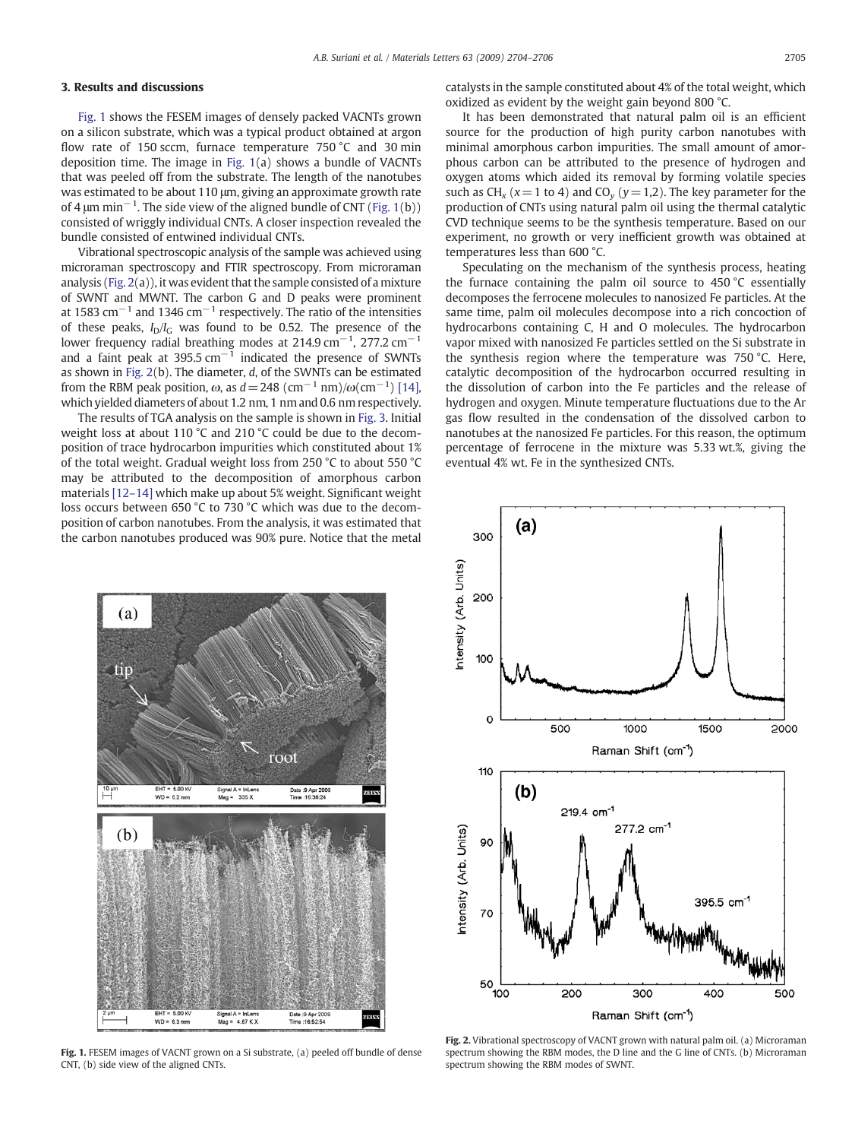#### 3. Results and discussions

Fig. 1 shows the FESEM images of densely packed VACNTs grown on a silicon substrate, which was a typical product obtained at argon flow rate of 150 sccm, furnace temperature 750 °C and 30 min deposition time. The image in Fig. 1(a) shows a bundle of VACNTs that was peeled off from the substrate. The length of the nanotubes was estimated to be about 110 μm, giving an approximate growth rate of 4  $\mu$ m min<sup>-1</sup>. The side view of the aligned bundle of CNT (Fig. 1(b)) consisted of wriggly individual CNTs. A closer inspection revealed the bundle consisted of entwined individual CNTs.

Vibrational spectroscopic analysis of the sample was achieved using microraman spectroscopy and FTIR spectroscopy. From microraman analysis (Fig. 2(a)), it was evident that the sample consisted of a mixture of SWNT and MWNT. The carbon G and D peaks were prominent at 1583  $\text{cm}^{-1}$  and 1346  $\text{cm}^{-1}$  respectively. The ratio of the intensities of these peaks,  $I_D/I_C$  was found to be 0.52. The presence of the lower frequency radial breathing modes at 214.9 cm<sup>−1</sup>, 277.2 cm<sup>−1</sup> and a faint peak at 395.5  $cm^{-1}$  indicated the presence of SWNTs as shown in Fig. 2(b). The diameter, d, of the SWNTs can be estimated from the RBM peak position,  $\omega$ , as  $d = 248 \; (\rm cm^{-1} \; nm) / \omega (\rm cm^{-1})$  [\[14\],](#page-2-0) which yielded diameters of about 1.2 nm, 1 nm and 0.6 nm respectively.

The results of TGA analysis on the sample is shown in [Fig. 3.](#page-2-0) Initial weight loss at about 110 °C and 210 °C could be due to the decomposition of trace hydrocarbon impurities which constituted about 1% of the total weight. Gradual weight loss from 250 °C to about 550 °C may be attributed to the decomposition of amorphous carbon materials [12–[14\]](#page-2-0) which make up about 5% weight. Significant weight loss occurs between 650 °C to 730 °C which was due to the decomposition of carbon nanotubes. From the analysis, it was estimated that the carbon nanotubes produced was 90% pure. Notice that the metal



Fig. 1. FESEM images of VACNT grown on a Si substrate, (a) peeled off bundle of dense CNT, (b) side view of the aligned CNTs.

catalysts in the sample constituted about 4% of the total weight, which oxidized as evident by the weight gain beyond 800 °C.

It has been demonstrated that natural palm oil is an efficient source for the production of high purity carbon nanotubes with minimal amorphous carbon impurities. The small amount of amorphous carbon can be attributed to the presence of hydrogen and oxygen atoms which aided its removal by forming volatile species such as CH<sub>x</sub> ( $x = 1$  to 4) and CO<sub>y</sub> ( $y = 1,2$ ). The key parameter for the production of CNTs using natural palm oil using the thermal catalytic CVD technique seems to be the synthesis temperature. Based on our experiment, no growth or very inefficient growth was obtained at temperatures less than 600 °C.

Speculating on the mechanism of the synthesis process, heating the furnace containing the palm oil source to 450 °C essentially decomposes the ferrocene molecules to nanosized Fe particles. At the same time, palm oil molecules decompose into a rich concoction of hydrocarbons containing C, H and O molecules. The hydrocarbon vapor mixed with nanosized Fe particles settled on the Si substrate in the synthesis region where the temperature was 750 °C. Here, catalytic decomposition of the hydrocarbon occurred resulting in the dissolution of carbon into the Fe particles and the release of hydrogen and oxygen. Minute temperature fluctuations due to the Ar gas flow resulted in the condensation of the dissolved carbon to nanotubes at the nanosized Fe particles. For this reason, the optimum percentage of ferrocene in the mixture was 5.33 wt.%, giving the eventual 4% wt. Fe in the synthesized CNTs.



Fig. 2. Vibrational spectroscopy of VACNT grown with natural palm oil. (a) Microraman spectrum showing the RBM modes, the D line and the G line of CNTs. (b) Microraman spectrum showing the RBM modes of SWNT.